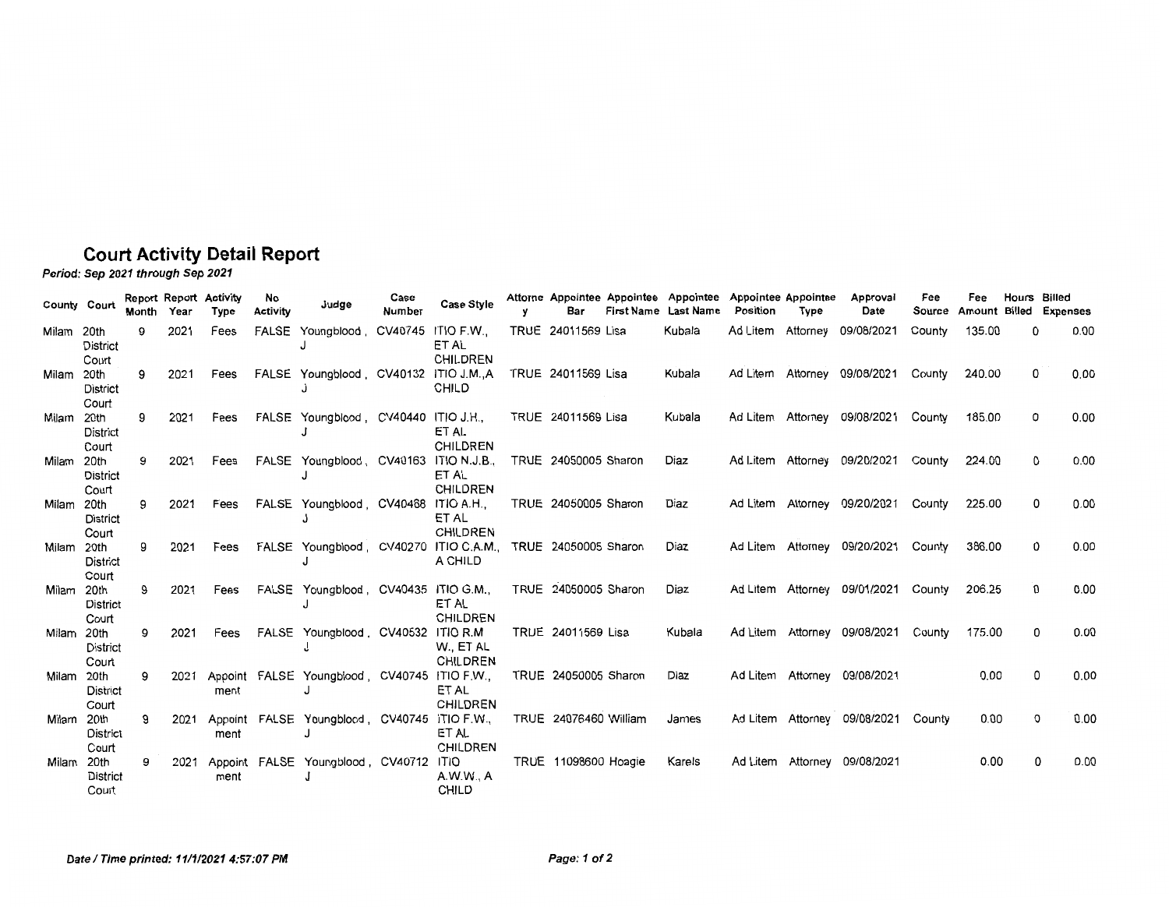## **Court Activity Detail Report**

Period: Sep 2021 through Sep 2021

| County Court |                                   | Month | Year | <b>Report Report Activity</b><br>Type | No<br><b>Activity</b> | Judae                                        | Case<br>Number | <b>Case Style</b>                            | Bar                         | Attorne Appointee Appointee Appointee Appointee Appointee<br>First Name Last Name | Position          | <b>Type</b> | Approval<br>Date             | Fee<br>Source | Fee<br>Amount | Hours<br>Billed | Billed<br><b>Expenses</b> |
|--------------|-----------------------------------|-------|------|---------------------------------------|-----------------------|----------------------------------------------|----------------|----------------------------------------------|-----------------------------|-----------------------------------------------------------------------------------|-------------------|-------------|------------------------------|---------------|---------------|-----------------|---------------------------|
| Milam 20th   | <b>District</b><br>Court          | 9     | 2021 | Fees                                  | FALSE                 | Youngblood, CV40745 ITIO F.W.,               |                | ET AL<br>CHILDREN                            | TRUE 24011569 Lisa          | Kubala                                                                            | Ad Litem          | Attorney    | 09/08/2021                   | County        | 135.00        | 0               | 0.00                      |
| Milam        | 20th<br><b>District</b><br>Court  | 9     | 2021 | Fees                                  |                       | FALSE Youngblood, CV40132 ITIO J.M.,A        |                | <b>CHILD</b>                                 | TRUE 24011569 Lisa          | Kubala                                                                            | Ad Litem          |             | Attorney 09/08/2021          | County        | 240.00        | 0               | 0.00                      |
| Milam 20th   | <b>District</b><br>Court          | 9     | 2021 | Fees                                  |                       | FALSE Youngblood, CV40440 ITIO J.H.,         |                | ET AL<br><b>CHILDREN</b>                     | TRUE 24011569 Lisa          | Kubala                                                                            |                   |             | Ad Litem Attorney 09/08/2021 | County        | 185.00        | 0               | 0.00                      |
| Milam        | 20th<br>District<br>Court         | 9     | 2021 | Fees                                  |                       | FALSE Youngblood, CV40163                    |                | ITIO N.J.B<br>ET AL<br><b>CHILDREN</b>       | TRUE 24050005 Sharon        | Diaz                                                                              |                   |             | Ad Litem Attorney 09/20/2021 | County        | 224.00        | 0               | 0.00                      |
| Milam 20th   | <b>District</b><br>Court          | 9     | 2021 | Fees                                  |                       | FALSE Youngblood, CV40468 ITIO A.H.,         |                | ET AL<br><b>CHILDREN</b>                     | TRUE 24050005 Sharon        | Diaz                                                                              |                   |             | Ad Litem Attorney 09/20/2021 | County        | 225.00        | 0               | 0.00                      |
| Milam 20th   | District<br>Court                 | 9     | 2021 | Fees                                  |                       | FALSE Youngblood, CV40270                    |                | ITIO C.A.M., TRUE 24050005 Sharon<br>A CHILD |                             | Diaz                                                                              |                   |             | Ad Litem Attorney 09/20/2021 | County        | 386.00        | 0               | 0.00                      |
| Milam 20th   | <b>District</b><br>Court          | 9     | 2021 | Fees                                  |                       | FALSE Youngblood, CV40435 ITIO G.M.,         |                | ET AL<br><b>CHILDREN</b>                     | TRUE 24050005 Sharon        | Diaz                                                                              | Ad Litem Attorney |             | 09/01/2021                   | County        | 206.25        | 0               | 0.00                      |
| Milam 20th   | District<br>Court                 | 9     | 2021 | Fees                                  |                       | FALSE Youngblood, CV40532 ITIO R.M.          |                | W., ET AL<br>CHILDREN                        | TRUE 24011569 Lisa          | Kubala                                                                            | Ad Litem Attorney |             | 09/08/2021                   | County        | 175.00        | 0               | 0.00                      |
| Milam        | 20th<br>District                  | 9     | 2021 | ment                                  |                       | Appoint FALSE Youngblood, CV40745 ITIO F.W., |                | ET AL<br><b>CHILDREN</b>                     | TRUE 24050005 Sharon        | Diaz                                                                              |                   |             | Ad Litem Attorney 09/08/2021 |               | 0.00          | 0               | 0.00                      |
| Milam 20th   | Court<br>District                 | 9     | 2021 | ment                                  |                       | Appoint FALSE Youngblood, CV40745 ITIO F.W., |                | ET AL<br>CHILDREN                            | TRUE 24076460 William       | James                                                                             |                   |             | Ad Litem Attorney 09/08/2021 | County        | 0.00          | 0               | 0.00                      |
| Milam 20th   | Court<br><b>District</b><br>Court | 9     | 2021 | Appoint<br>ment                       |                       | FALSE Youngblood, CV40712 ITIO               |                | A.W.W., A<br>CHILD                           | <b>TRUE 11098600 Hoagie</b> | Karels                                                                            |                   |             | Ad Litem Attorney 09/08/2021 |               | 0.00          | 0               | 0.00                      |